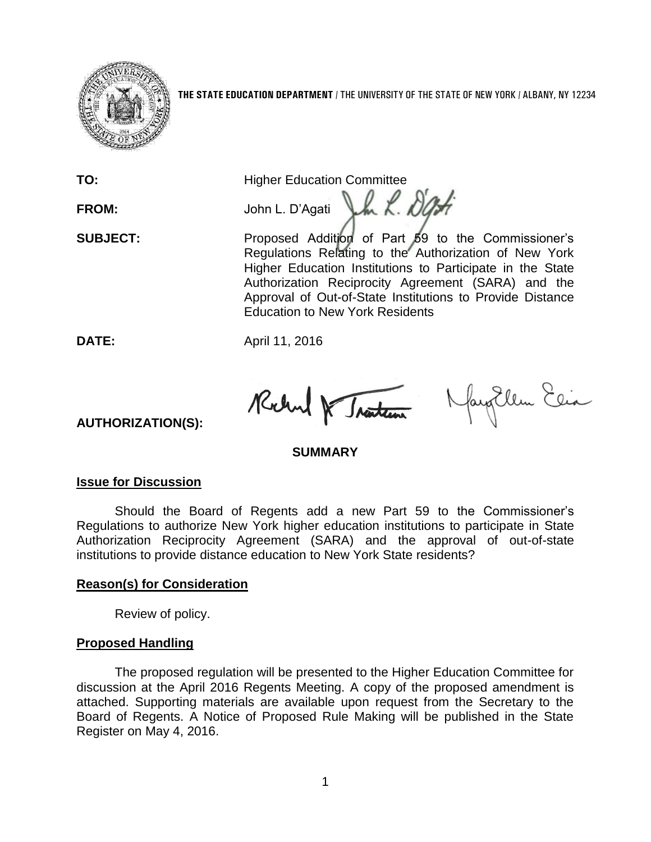

**TO:** Higher Education Committee

FROM: John L. D'Agati J.h. R. DO

**SUBJECT:** Proposed Addition of Part 59 to the Commissioner's Regulations Relating to the Authorization of New York Higher Education Institutions to Participate in the State Authorization Reciprocity Agreement (SARA) and the Approval of Out-of-State Institutions to Provide Distance Education to New York Residents

**DATE:** April 11, 2016

Rochel & Traction Navy Ellen Ein

## **SUMMARY**

## **Issue for Discussion**

**AUTHORIZATION(S):**

Should the Board of Regents add a new Part 59 to the Commissioner's Regulations to authorize New York higher education institutions to participate in State Authorization Reciprocity Agreement (SARA) and the approval of out-of-state institutions to provide distance education to New York State residents?

## **Reason(s) for Consideration**

Review of policy.

# **Proposed Handling**

The proposed regulation will be presented to the Higher Education Committee for discussion at the April 2016 Regents Meeting. A copy of the proposed amendment is attached. Supporting materials are available upon request from the Secretary to the Board of Regents. A Notice of Proposed Rule Making will be published in the State Register on May 4, 2016.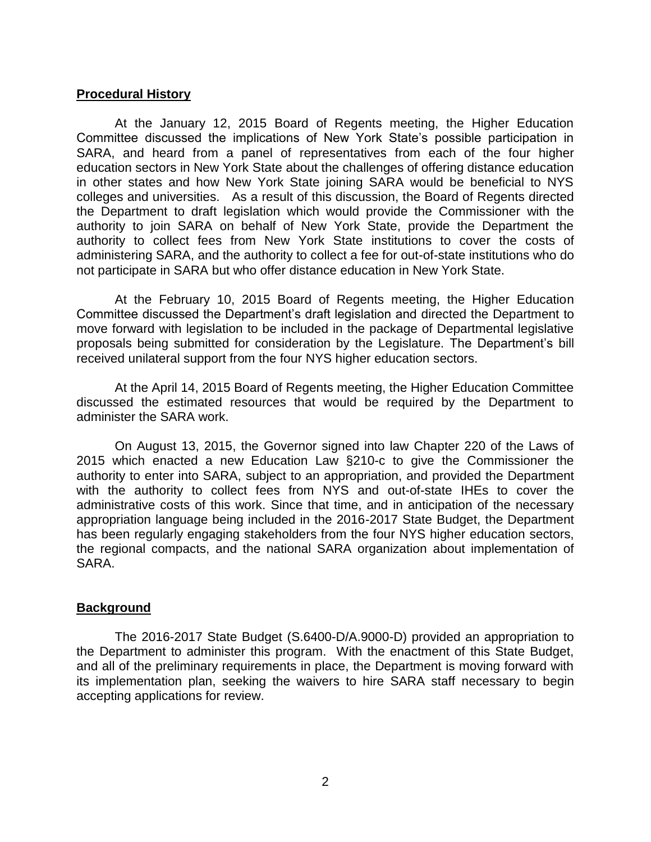### **Procedural History**

At the January 12, 2015 Board of Regents meeting, the Higher Education Committee discussed the implications of New York State's possible participation in SARA, and heard from a panel of representatives from each of the four higher education sectors in New York State about the challenges of offering distance education in other states and how New York State joining SARA would be beneficial to NYS colleges and universities. As a result of this discussion, the Board of Regents directed the Department to draft legislation which would provide the Commissioner with the authority to join SARA on behalf of New York State, provide the Department the authority to collect fees from New York State institutions to cover the costs of administering SARA, and the authority to collect a fee for out-of-state institutions who do not participate in SARA but who offer distance education in New York State.

At the February 10, 2015 Board of Regents meeting, the Higher Education Committee discussed the Department's draft legislation and directed the Department to move forward with legislation to be included in the package of Departmental legislative proposals being submitted for consideration by the Legislature. The Department's bill received unilateral support from the four NYS higher education sectors.

At the April 14, 2015 Board of Regents meeting, the Higher Education Committee discussed the estimated resources that would be required by the Department to administer the SARA work.

On August 13, 2015, the Governor signed into law Chapter 220 of the Laws of 2015 which enacted a new Education Law §210-c to give the Commissioner the authority to enter into SARA, subject to an appropriation, and provided the Department with the authority to collect fees from NYS and out-of-state IHEs to cover the administrative costs of this work. Since that time, and in anticipation of the necessary appropriation language being included in the 2016-2017 State Budget, the Department has been regularly engaging stakeholders from the four NYS higher education sectors, the regional compacts, and the national SARA organization about implementation of SARA.

### **Background**

The 2016-2017 State Budget (S.6400-D/A.9000-D) provided an appropriation to the Department to administer this program. With the enactment of this State Budget, and all of the preliminary requirements in place, the Department is moving forward with its implementation plan, seeking the waivers to hire SARA staff necessary to begin accepting applications for review.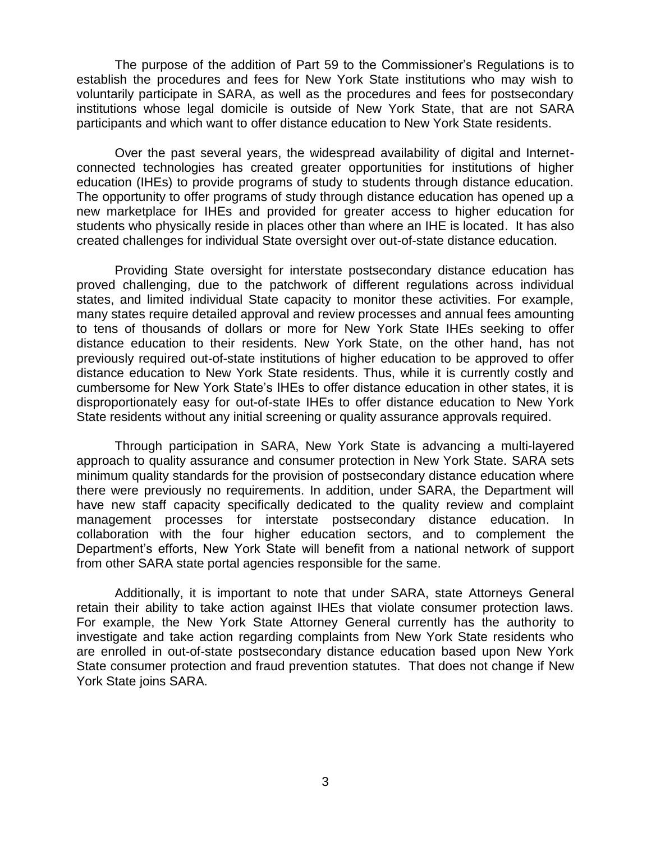The purpose of the addition of Part 59 to the Commissioner's Regulations is to establish the procedures and fees for New York State institutions who may wish to voluntarily participate in SARA, as well as the procedures and fees for postsecondary institutions whose legal domicile is outside of New York State, that are not SARA participants and which want to offer distance education to New York State residents.

Over the past several years, the widespread availability of digital and Internetconnected technologies has created greater opportunities for institutions of higher education (IHEs) to provide programs of study to students through distance education. The opportunity to offer programs of study through distance education has opened up a new marketplace for IHEs and provided for greater access to higher education for students who physically reside in places other than where an IHE is located. It has also created challenges for individual State oversight over out-of-state distance education.

Providing State oversight for interstate postsecondary distance education has proved challenging, due to the patchwork of different regulations across individual states, and limited individual State capacity to monitor these activities. For example, many states require detailed approval and review processes and annual fees amounting to tens of thousands of dollars or more for New York State IHEs seeking to offer distance education to their residents. New York State, on the other hand, has not previously required out-of-state institutions of higher education to be approved to offer distance education to New York State residents. Thus, while it is currently costly and cumbersome for New York State's IHEs to offer distance education in other states, it is disproportionately easy for out-of-state IHEs to offer distance education to New York State residents without any initial screening or quality assurance approvals required.

Through participation in SARA, New York State is advancing a multi-layered approach to quality assurance and consumer protection in New York State. SARA sets minimum quality standards for the provision of postsecondary distance education where there were previously no requirements. In addition, under SARA, the Department will have new staff capacity specifically dedicated to the quality review and complaint management processes for interstate postsecondary distance education. In collaboration with the four higher education sectors, and to complement the Department's efforts, New York State will benefit from a national network of support from other SARA state portal agencies responsible for the same.

Additionally, it is important to note that under SARA, state Attorneys General retain their ability to take action against IHEs that violate consumer protection laws. For example, the New York State Attorney General currently has the authority to investigate and take action regarding complaints from New York State residents who are enrolled in out-of-state postsecondary distance education based upon New York State consumer protection and fraud prevention statutes. That does not change if New York State joins SARA.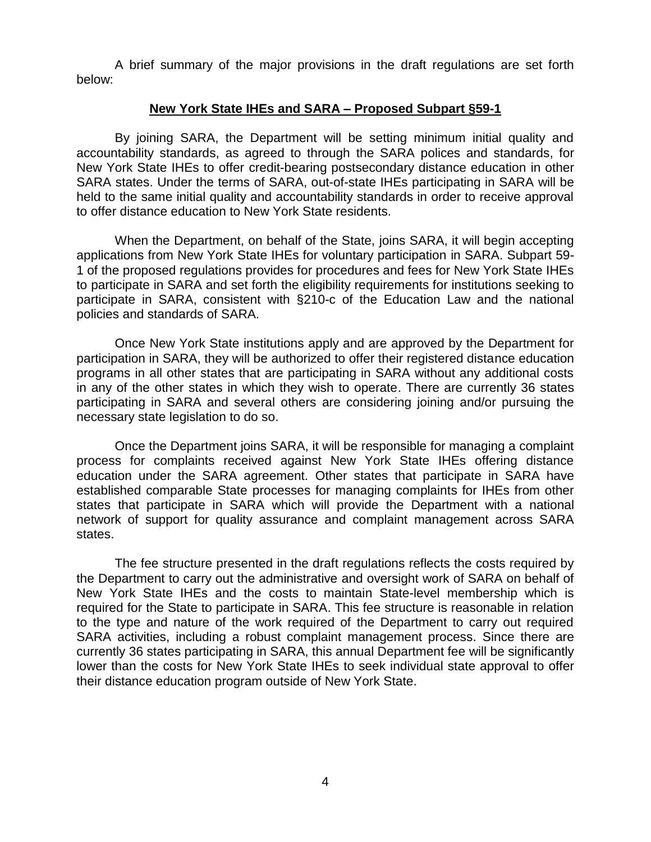A brief summary of the major provisions in the draft regulations are set forth below:

### **New York State IHEs and SARA – Proposed Subpart §59-1**

By joining SARA, the Department will be setting minimum initial quality and accountability standards, as agreed to through the SARA polices and standards, for New York State IHEs to offer credit-bearing postsecondary distance education in other SARA states. Under the terms of SARA, out-of-state IHEs participating in SARA will be held to the same initial quality and accountability standards in order to receive approval to offer distance education to New York State residents.

When the Department, on behalf of the State, joins SARA, it will begin accepting applications from New York State IHEs for voluntary participation in SARA. Subpart 59- 1 of the proposed regulations provides for procedures and fees for New York State IHEs to participate in SARA and set forth the eligibility requirements for institutions seeking to participate in SARA, consistent with §210-c of the Education Law and the national policies and standards of SARA.

Once New York State institutions apply and are approved by the Department for participation in SARA, they will be authorized to offer their registered distance education programs in all other states that are participating in SARA without any additional costs in any of the other states in which they wish to operate. There are currently 36 states participating in SARA and several others are considering joining and/or pursuing the necessary state legislation to do so.

Once the Department joins SARA, it will be responsible for managing a complaint process for complaints received against New York State IHEs offering distance education under the SARA agreement. Other states that participate in SARA have established comparable State processes for managing complaints for IHEs from other states that participate in SARA which will provide the Department with a national network of support for quality assurance and complaint management across SARA states.

The fee structure presented in the draft regulations reflects the costs required by the Department to carry out the administrative and oversight work of SARA on behalf of New York State IHEs and the costs to maintain State-level membership which is required for the State to participate in SARA. This fee structure is reasonable in relation to the type and nature of the work required of the Department to carry out required SARA activities, including a robust complaint management process. Since there are currently 36 states participating in SARA, this annual Department fee will be significantly lower than the costs for New York State IHEs to seek individual state approval to offer their distance education program outside of New York State.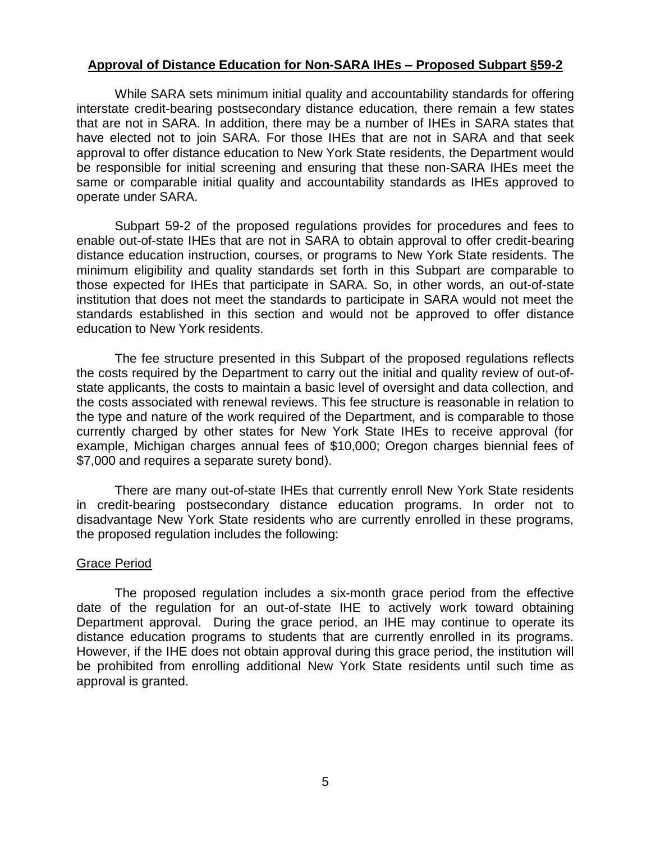## **Approval of Distance Education for Non-SARA IHEs – Proposed Subpart §59-2**

While SARA sets minimum initial quality and accountability standards for offering interstate credit-bearing postsecondary distance education, there remain a few states that are not in SARA. In addition, there may be a number of IHEs in SARA states that have elected not to join SARA. For those IHEs that are not in SARA and that seek approval to offer distance education to New York State residents, the Department would be responsible for initial screening and ensuring that these non-SARA IHEs meet the same or comparable initial quality and accountability standards as IHEs approved to operate under SARA.

Subpart 59-2 of the proposed regulations provides for procedures and fees to enable out-of-state IHEs that are not in SARA to obtain approval to offer credit-bearing distance education instruction, courses, or programs to New York State residents. The minimum eligibility and quality standards set forth in this Subpart are comparable to those expected for IHEs that participate in SARA. So, in other words, an out-of-state institution that does not meet the standards to participate in SARA would not meet the standards established in this section and would not be approved to offer distance education to New York residents.

The fee structure presented in this Subpart of the proposed regulations reflects the costs required by the Department to carry out the initial and quality review of out-ofstate applicants, the costs to maintain a basic level of oversight and data collection, and the costs associated with renewal reviews. This fee structure is reasonable in relation to the type and nature of the work required of the Department, and is comparable to those currently charged by other states for New York State IHEs to receive approval (for example, Michigan charges annual fees of \$10,000; Oregon charges biennial fees of \$7,000 and requires a separate surety bond).

There are many out-of-state IHEs that currently enroll New York State residents in credit-bearing postsecondary distance education programs. In order not to disadvantage New York State residents who are currently enrolled in these programs, the proposed regulation includes the following:

### Grace Period

The proposed regulation includes a six-month grace period from the effective date of the regulation for an out-of-state IHE to actively work toward obtaining Department approval. During the grace period, an IHE may continue to operate its distance education programs to students that are currently enrolled in its programs. However, if the IHE does not obtain approval during this grace period, the institution will be prohibited from enrolling additional New York State residents until such time as approval is granted.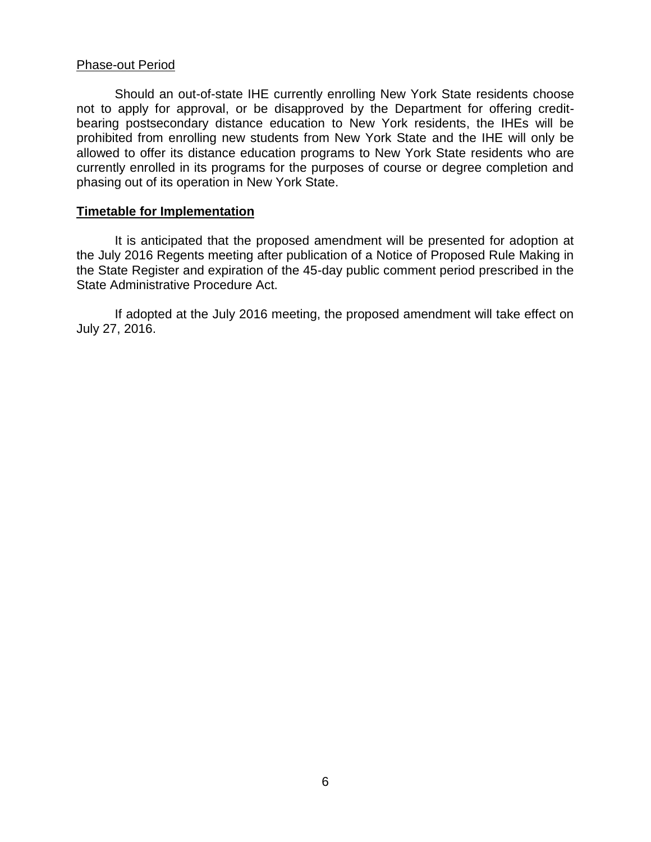### Phase-out Period

Should an out-of-state IHE currently enrolling New York State residents choose not to apply for approval, or be disapproved by the Department for offering creditbearing postsecondary distance education to New York residents, the IHEs will be prohibited from enrolling new students from New York State and the IHE will only be allowed to offer its distance education programs to New York State residents who are currently enrolled in its programs for the purposes of course or degree completion and phasing out of its operation in New York State.

### **Timetable for Implementation**

It is anticipated that the proposed amendment will be presented for adoption at the July 2016 Regents meeting after publication of a Notice of Proposed Rule Making in the State Register and expiration of the 45-day public comment period prescribed in the State Administrative Procedure Act.

If adopted at the July 2016 meeting, the proposed amendment will take effect on July 27, 2016.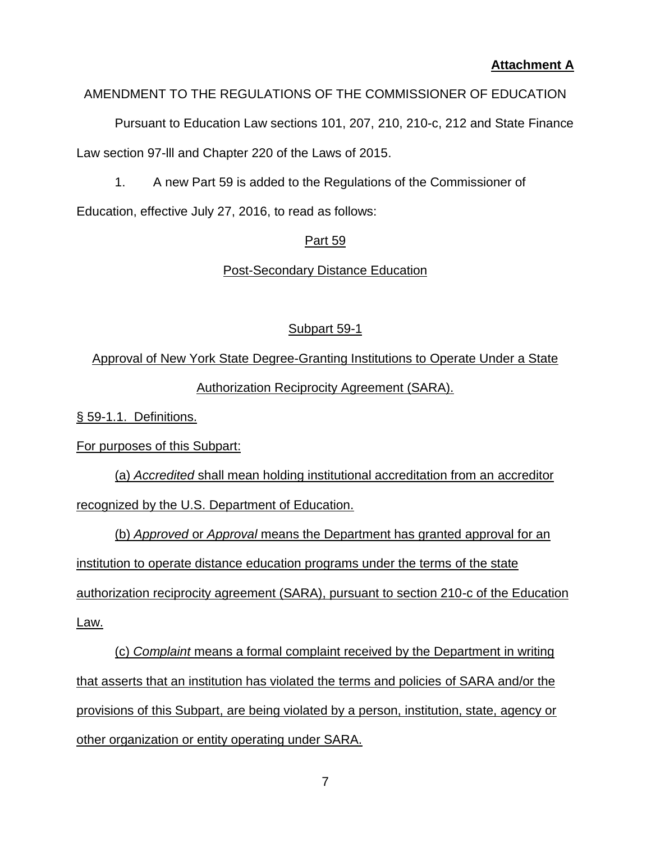# **Attachment A**

# AMENDMENT TO THE REGULATIONS OF THE COMMISSIONER OF EDUCATION

Pursuant to Education Law sections 101, 207, 210, 210-c, 212 and State Finance Law section 97-lll and Chapter 220 of the Laws of 2015.

1. A new Part 59 is added to the Regulations of the Commissioner of

Education, effective July 27, 2016, to read as follows:

# Part 59

Post-Secondary Distance Education

# Subpart 59-1

Approval of New York State Degree-Granting Institutions to Operate Under a State Authorization Reciprocity Agreement (SARA).

§ 59-1.1. Definitions.

For purposes of this Subpart:

(a) *Accredited* shall mean holding institutional accreditation from an accreditor recognized by the U.S. Department of Education.

(b) *Approved* or *Approval* means the Department has granted approval for an institution to operate distance education programs under the terms of the state authorization reciprocity agreement (SARA), pursuant to section 210-c of the Education Law.

(c) *Complaint* means a formal complaint received by the Department in writing that asserts that an institution has violated the terms and policies of SARA and/or the provisions of this Subpart, are being violated by a person, institution, state, agency or other organization or entity operating under SARA.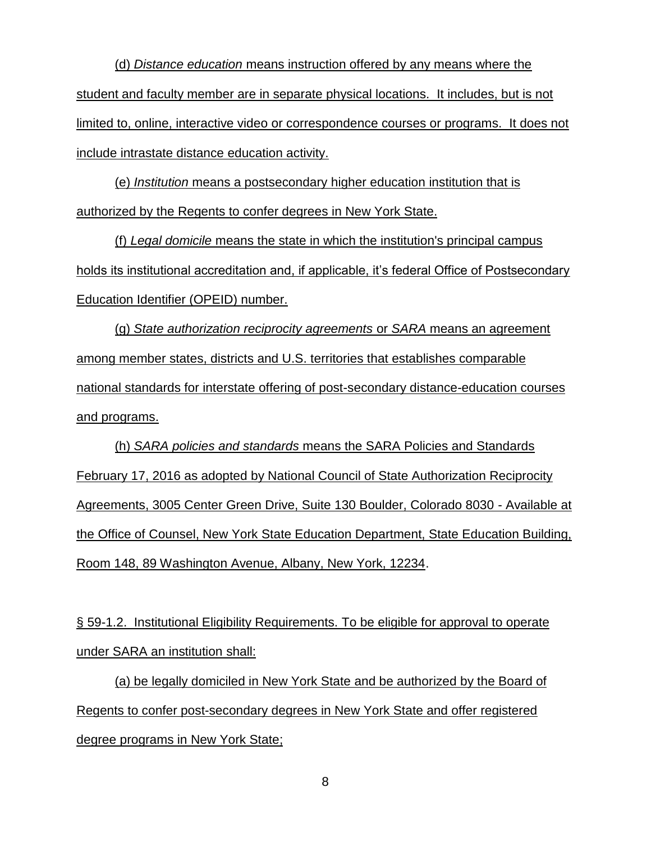(d) *Distance education* means instruction offered by any means where the student and faculty member are in separate physical locations. It includes, but is not limited to, online, interactive video or correspondence courses or programs. It does not include intrastate distance education activity.

(e) *Institution* means a postsecondary higher education institution that is authorized by the Regents to confer degrees in New York State.

(f) *Legal domicile* means the state in which the institution's principal campus holds its institutional accreditation and, if applicable, it's federal Office of Postsecondary Education Identifier (OPEID) number.

(g) *State authorization reciprocity agreements* or *SARA* means an agreement among member states, districts and U.S. territories that establishes comparable national standards for interstate offering of post-secondary distance-education courses and programs.

(h) *SARA policies and standards* means the SARA Policies and Standards February 17, 2016 as adopted by National Council of State Authorization Reciprocity Agreements, 3005 Center Green Drive, Suite 130 Boulder, Colorado 8030 - Available at the Office of Counsel, New York State Education Department, State Education Building, Room 148, 89 Washington Avenue, Albany, New York, 12234.

§ 59-1.2. Institutional Eligibility Requirements. To be eligible for approval to operate under SARA an institution shall:

(a) be legally domiciled in New York State and be authorized by the Board of Regents to confer post-secondary degrees in New York State and offer registered degree programs in New York State;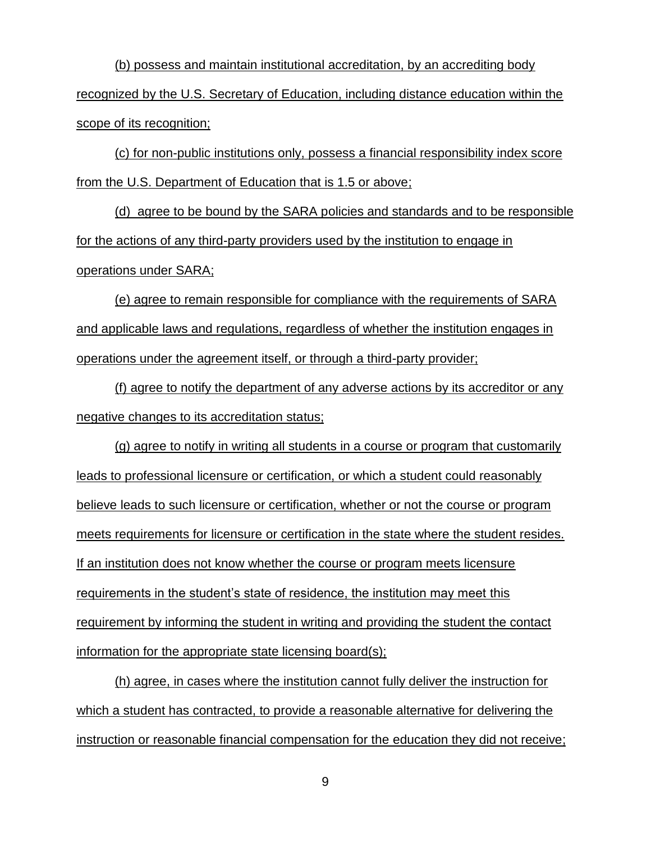(b) possess and maintain institutional accreditation, by an accrediting body recognized by the U.S. Secretary of Education, including distance education within the scope of its recognition;

(c) for non-public institutions only, possess a financial responsibility index score from the U.S. Department of Education that is 1.5 or above;

(d) agree to be bound by the SARA policies and standards and to be responsible for the actions of any third-party providers used by the institution to engage in operations under SARA;

(e) agree to remain responsible for compliance with the requirements of SARA and applicable laws and regulations, regardless of whether the institution engages in operations under the agreement itself, or through a third-party provider;

(f) agree to notify the department of any adverse actions by its accreditor or any negative changes to its accreditation status;

(g) agree to notify in writing all students in a course or program that customarily leads to professional licensure or certification, or which a student could reasonably believe leads to such licensure or certification, whether or not the course or program meets requirements for licensure or certification in the state where the student resides. If an institution does not know whether the course or program meets licensure requirements in the student's state of residence, the institution may meet this requirement by informing the student in writing and providing the student the contact information for the appropriate state licensing board(s);

(h) agree, in cases where the institution cannot fully deliver the instruction for which a student has contracted, to provide a reasonable alternative for delivering the instruction or reasonable financial compensation for the education they did not receive;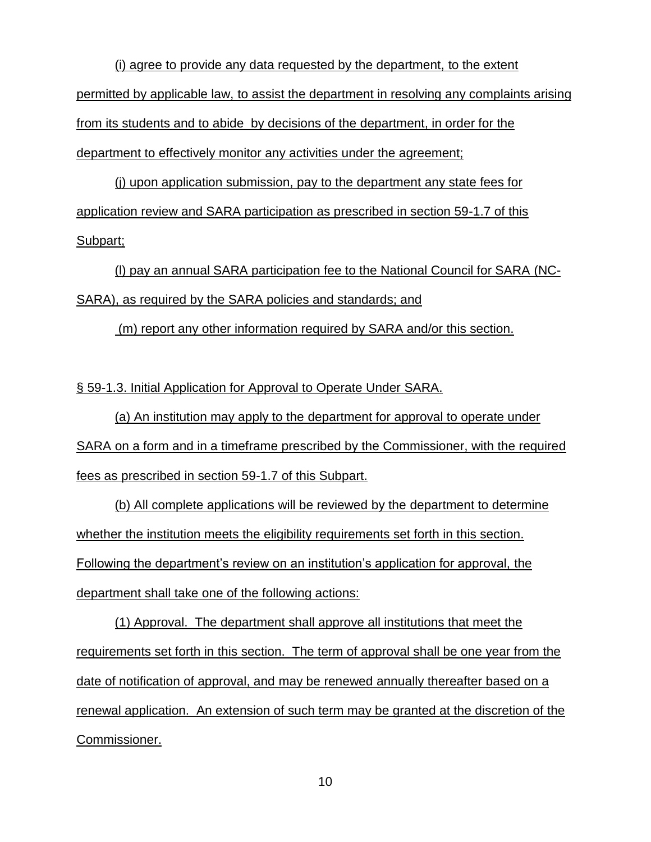(i) agree to provide any data requested by the department, to the extent permitted by applicable law, to assist the department in resolving any complaints arising from its students and to abide by decisions of the department, in order for the department to effectively monitor any activities under the agreement;

(j) upon application submission, pay to the department any state fees for application review and SARA participation as prescribed in section 59-1.7 of this Subpart;

(l) pay an annual SARA participation fee to the National Council for SARA (NC-SARA), as required by the SARA policies and standards; and

(m) report any other information required by SARA and/or this section.

§ 59-1.3. Initial Application for Approval to Operate Under SARA.

(a) An institution may apply to the department for approval to operate under SARA on a form and in a timeframe prescribed by the Commissioner, with the required fees as prescribed in section 59-1.7 of this Subpart.

(b) All complete applications will be reviewed by the department to determine whether the institution meets the eligibility requirements set forth in this section. Following the department's review on an institution's application for approval, the department shall take one of the following actions:

(1) Approval. The department shall approve all institutions that meet the requirements set forth in this section. The term of approval shall be one year from the date of notification of approval, and may be renewed annually thereafter based on a renewal application. An extension of such term may be granted at the discretion of the Commissioner.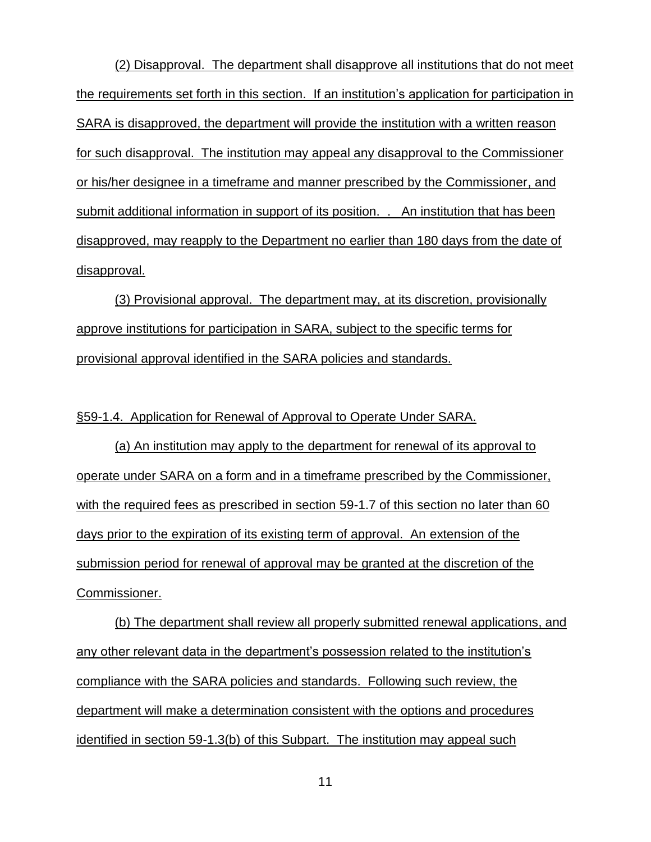(2) Disapproval. The department shall disapprove all institutions that do not meet the requirements set forth in this section. If an institution's application for participation in SARA is disapproved, the department will provide the institution with a written reason for such disapproval. The institution may appeal any disapproval to the Commissioner or his/her designee in a timeframe and manner prescribed by the Commissioner, and submit additional information in support of its position. . An institution that has been disapproved, may reapply to the Department no earlier than 180 days from the date of disapproval.

(3) Provisional approval. The department may, at its discretion, provisionally approve institutions for participation in SARA, subject to the specific terms for provisional approval identified in the SARA policies and standards.

§59-1.4. Application for Renewal of Approval to Operate Under SARA.

(a) An institution may apply to the department for renewal of its approval to operate under SARA on a form and in a timeframe prescribed by the Commissioner, with the required fees as prescribed in section 59-1.7 of this section no later than 60 days prior to the expiration of its existing term of approval. An extension of the submission period for renewal of approval may be granted at the discretion of the Commissioner.

(b) The department shall review all properly submitted renewal applications, and any other relevant data in the department's possession related to the institution's compliance with the SARA policies and standards. Following such review, the department will make a determination consistent with the options and procedures identified in section 59-1.3(b) of this Subpart. The institution may appeal such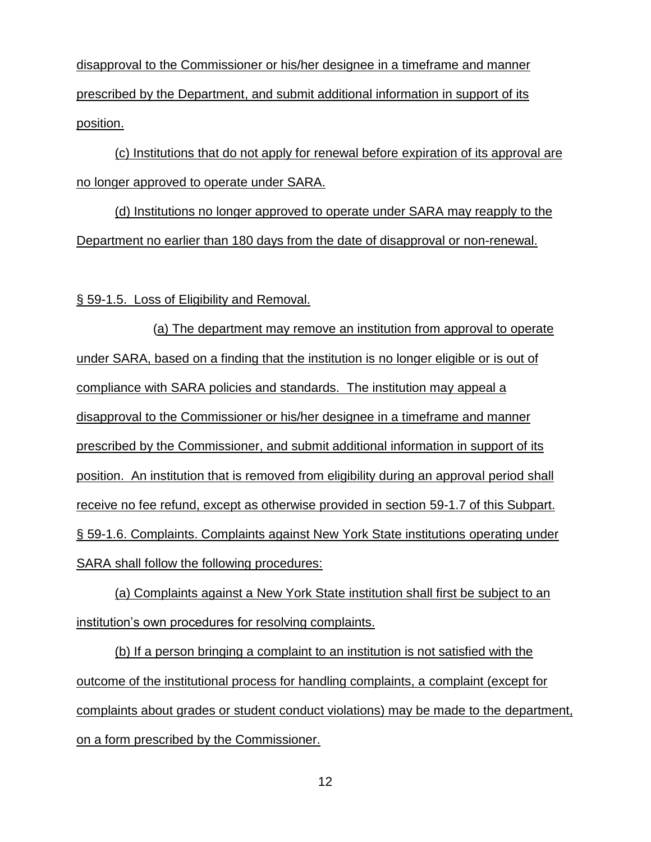disapproval to the Commissioner or his/her designee in a timeframe and manner prescribed by the Department, and submit additional information in support of its position.

(c) Institutions that do not apply for renewal before expiration of its approval are no longer approved to operate under SARA.

(d) Institutions no longer approved to operate under SARA may reapply to the Department no earlier than 180 days from the date of disapproval or non-renewal.

§ 59-1.5. Loss of Eligibility and Removal.

(a) The department may remove an institution from approval to operate under SARA, based on a finding that the institution is no longer eligible or is out of compliance with SARA policies and standards. The institution may appeal a disapproval to the Commissioner or his/her designee in a timeframe and manner prescribed by the Commissioner, and submit additional information in support of its position. An institution that is removed from eligibility during an approval period shall receive no fee refund, except as otherwise provided in section 59-1.7 of this Subpart. § 59-1.6. Complaints. Complaints against New York State institutions operating under SARA shall follow the following procedures:

(a) Complaints against a New York State institution shall first be subject to an institution's own procedures for resolving complaints.

(b) If a person bringing a complaint to an institution is not satisfied with the outcome of the institutional process for handling complaints, a complaint (except for complaints about grades or student conduct violations) may be made to the department, on a form prescribed by the Commissioner.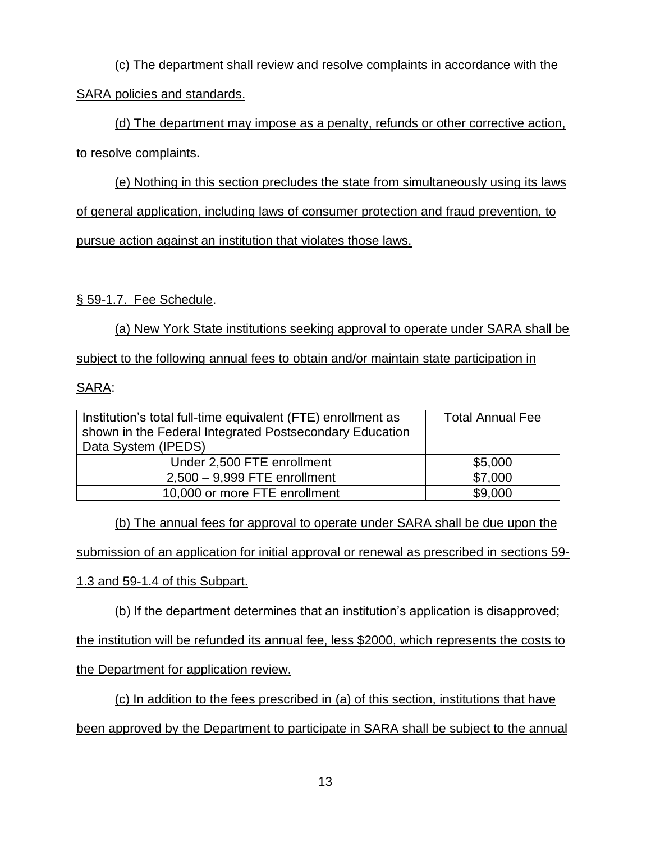(c) The department shall review and resolve complaints in accordance with the SARA policies and standards.

(d) The department may impose as a penalty, refunds or other corrective action, to resolve complaints.

(e) Nothing in this section precludes the state from simultaneously using its laws of general application, including laws of consumer protection and fraud prevention, to pursue action against an institution that violates those laws.

§ 59-1.7. Fee Schedule.

(a) New York State institutions seeking approval to operate under SARA shall be subject to the following annual fees to obtain and/or maintain state participation in

SARA:

| Institution's total full-time equivalent (FTE) enrollment as<br>shown in the Federal Integrated Postsecondary Education<br>Data System (IPEDS) | <b>Total Annual Fee</b> |
|------------------------------------------------------------------------------------------------------------------------------------------------|-------------------------|
| Under 2,500 FTE enrollment                                                                                                                     | \$5,000                 |
| $2,500 - 9,999$ FTE enrollment                                                                                                                 | \$7,000                 |
| 10,000 or more FTE enrollment                                                                                                                  | \$9,000                 |

(b) The annual fees for approval to operate under SARA shall be due upon the

submission of an application for initial approval or renewal as prescribed in sections 59-

1.3 and 59-1.4 of this Subpart.

(b) If the department determines that an institution's application is disapproved;

the institution will be refunded its annual fee, less \$2000, which represents the costs to

the Department for application review.

(c) In addition to the fees prescribed in (a) of this section, institutions that have

been approved by the Department to participate in SARA shall be subject to the annual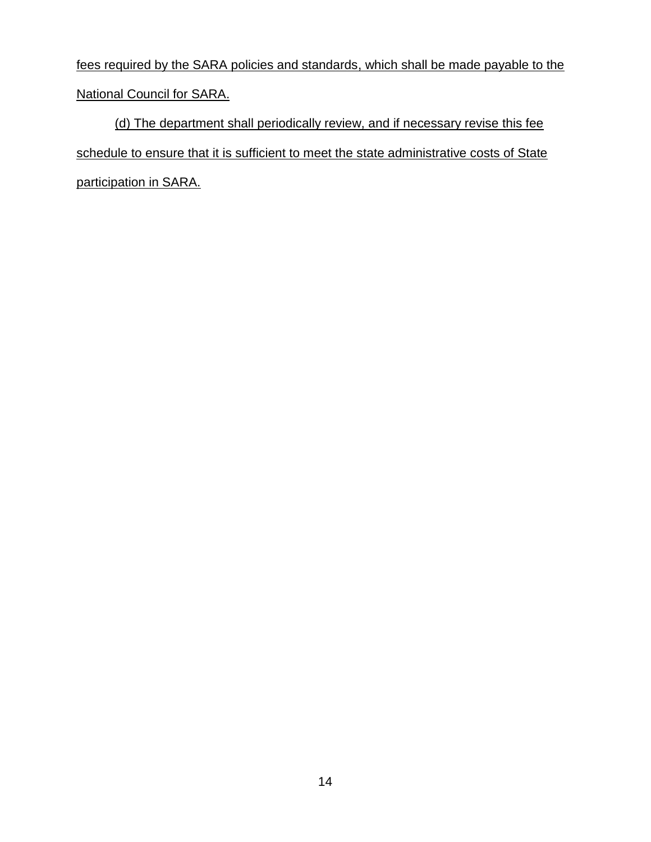fees required by the SARA policies and standards, which shall be made payable to the National Council for SARA.

(d) The department shall periodically review, and if necessary revise this fee schedule to ensure that it is sufficient to meet the state administrative costs of State participation in SARA.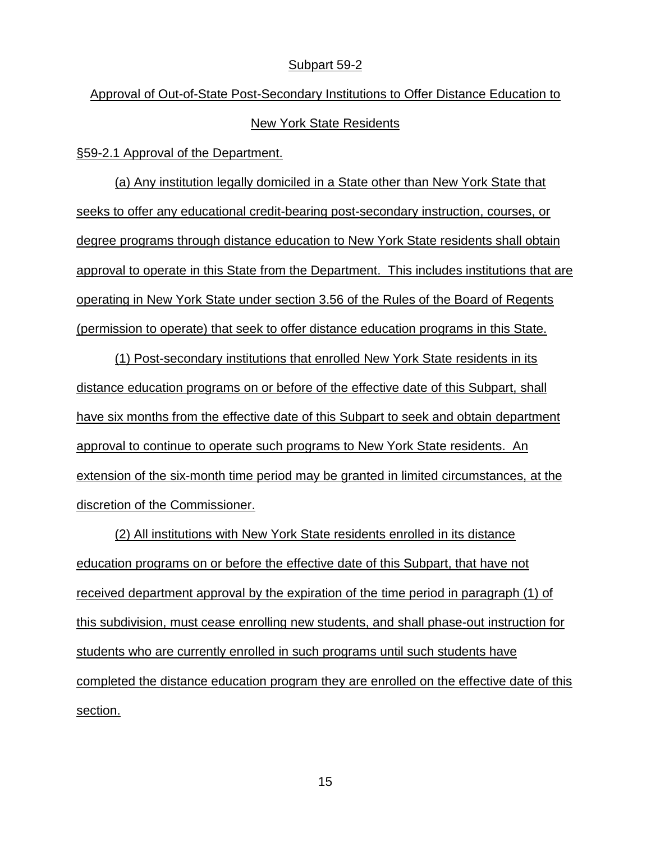#### Subpart 59-2

Approval of Out-of-State Post-Secondary Institutions to Offer Distance Education to New York State Residents

§59-2.1 Approval of the Department.

(a) Any institution legally domiciled in a State other than New York State that seeks to offer any educational credit-bearing post-secondary instruction, courses, or degree programs through distance education to New York State residents shall obtain approval to operate in this State from the Department. This includes institutions that are operating in New York State under section 3.56 of the Rules of the Board of Regents (permission to operate) that seek to offer distance education programs in this State.

(1) Post-secondary institutions that enrolled New York State residents in its distance education programs on or before of the effective date of this Subpart, shall have six months from the effective date of this Subpart to seek and obtain department approval to continue to operate such programs to New York State residents. An extension of the six-month time period may be granted in limited circumstances, at the discretion of the Commissioner.

(2) All institutions with New York State residents enrolled in its distance education programs on or before the effective date of this Subpart, that have not received department approval by the expiration of the time period in paragraph (1) of this subdivision, must cease enrolling new students, and shall phase-out instruction for students who are currently enrolled in such programs until such students have completed the distance education program they are enrolled on the effective date of this section.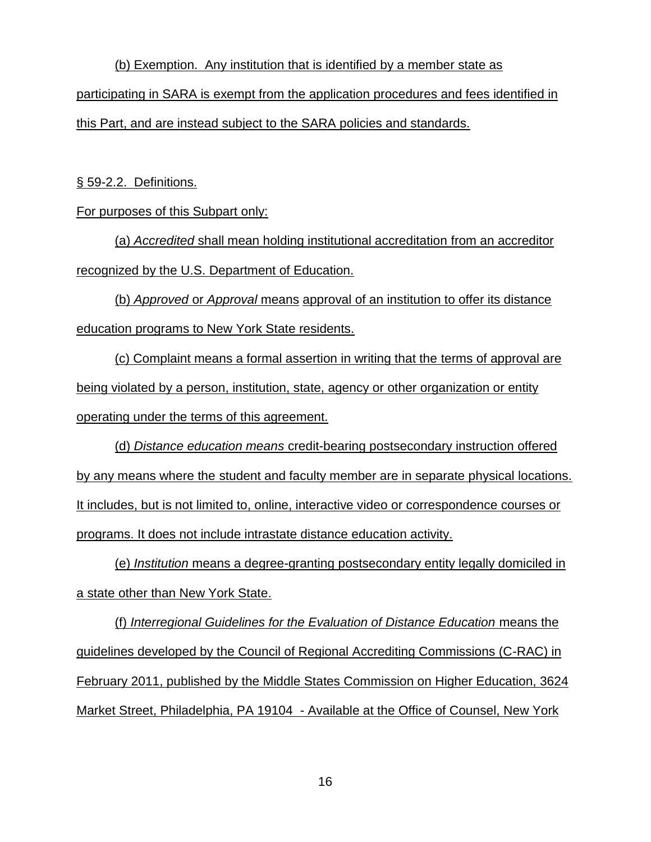(b) Exemption. Any institution that is identified by a member state as participating in SARA is exempt from the application procedures and fees identified in this Part, and are instead subject to the SARA policies and standards.

§ 59-2.2. Definitions.

For purposes of this Subpart only:

(a) *Accredited* shall mean holding institutional accreditation from an accreditor recognized by the U.S. Department of Education.

(b) *Approved* or *Approval* means approval of an institution to offer its distance education programs to New York State residents.

(c) Complaint means a formal assertion in writing that the terms of approval are being violated by a person, institution, state, agency or other organization or entity operating under the terms of this agreement.

(d) *Distance education means* credit-bearing postsecondary instruction offered by any means where the student and faculty member are in separate physical locations. It includes, but is not limited to, online, interactive video or correspondence courses or programs. It does not include intrastate distance education activity.

(e) *Institution* means a degree-granting postsecondary entity legally domiciled in a state other than New York State.

(f) *Interregional Guidelines for the Evaluation of Distance Education* means the guidelines developed by the Council of Regional Accrediting Commissions (C-RAC) in February 2011, published by the Middle States Commission on Higher Education, 3624 Market Street, Philadelphia, PA 19104 - Available at the Office of Counsel, New York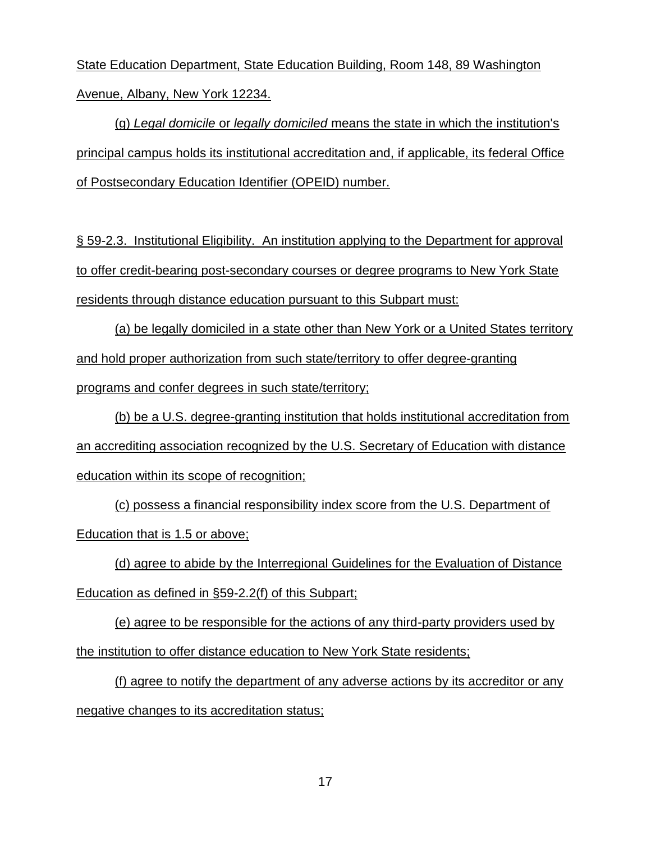State Education Department, State Education Building, Room 148, 89 Washington Avenue, Albany, New York 12234.

(g) *Legal domicile* or *legally domiciled* means the state in which the institution's principal campus holds its institutional accreditation and, if applicable, its federal Office of Postsecondary Education Identifier (OPEID) number.

§ 59-2.3. Institutional Eligibility. An institution applying to the Department for approval to offer credit-bearing post-secondary courses or degree programs to New York State residents through distance education pursuant to this Subpart must:

(a) be legally domiciled in a state other than New York or a United States territory and hold proper authorization from such state/territory to offer degree-granting programs and confer degrees in such state/territory;

(b) be a U.S. degree-granting institution that holds institutional accreditation from an accrediting association recognized by the U.S. Secretary of Education with distance education within its scope of recognition;

(c) possess a financial responsibility index score from the U.S. Department of Education that is 1.5 or above;

(d) agree to abide by the Interregional Guidelines for the Evaluation of Distance Education as defined in §59-2.2(f) of this Subpart;

(e) agree to be responsible for the actions of any third-party providers used by the institution to offer distance education to New York State residents;

(f) agree to notify the department of any adverse actions by its accreditor or any negative changes to its accreditation status;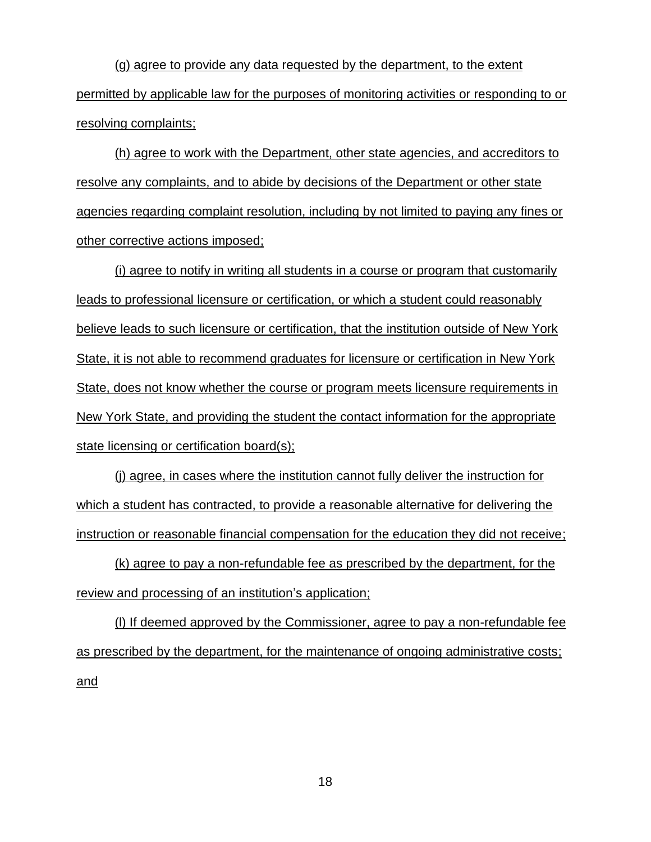(g) agree to provide any data requested by the department, to the extent permitted by applicable law for the purposes of monitoring activities or responding to or resolving complaints;

(h) agree to work with the Department, other state agencies, and accreditors to resolve any complaints, and to abide by decisions of the Department or other state agencies regarding complaint resolution, including by not limited to paying any fines or other corrective actions imposed;

(i) agree to notify in writing all students in a course or program that customarily leads to professional licensure or certification, or which a student could reasonably believe leads to such licensure or certification, that the institution outside of New York State, it is not able to recommend graduates for licensure or certification in New York State, does not know whether the course or program meets licensure requirements in New York State, and providing the student the contact information for the appropriate state licensing or certification board(s);

(j) agree, in cases where the institution cannot fully deliver the instruction for which a student has contracted, to provide a reasonable alternative for delivering the instruction or reasonable financial compensation for the education they did not receive;

(k) agree to pay a non-refundable fee as prescribed by the department, for the review and processing of an institution's application;

(l) If deemed approved by the Commissioner, agree to pay a non-refundable fee as prescribed by the department, for the maintenance of ongoing administrative costs; and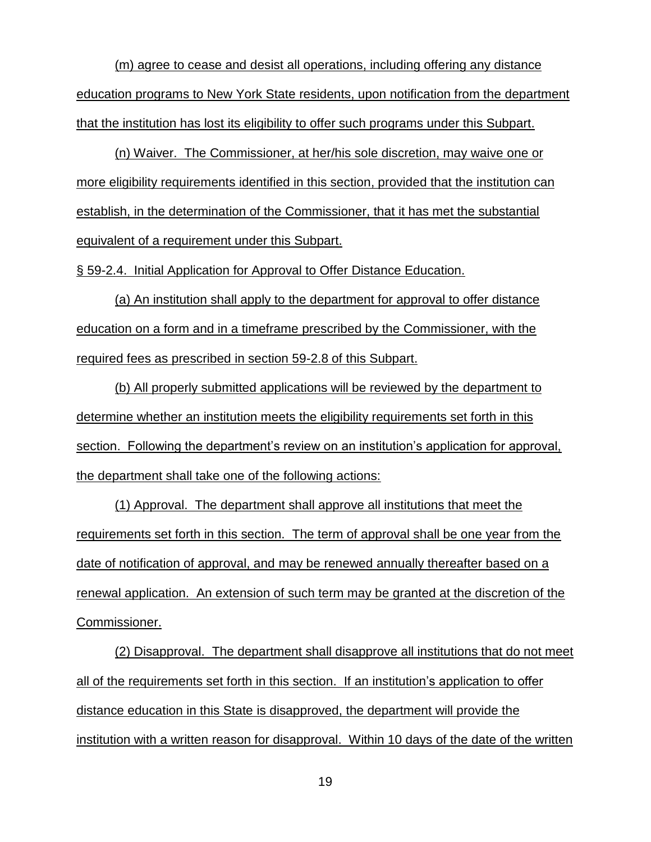(m) agree to cease and desist all operations, including offering any distance education programs to New York State residents, upon notification from the department that the institution has lost its eligibility to offer such programs under this Subpart.

(n) Waiver. The Commissioner, at her/his sole discretion, may waive one or more eligibility requirements identified in this section, provided that the institution can establish, in the determination of the Commissioner, that it has met the substantial equivalent of a requirement under this Subpart.

§ 59-2.4. Initial Application for Approval to Offer Distance Education.

(a) An institution shall apply to the department for approval to offer distance education on a form and in a timeframe prescribed by the Commissioner, with the required fees as prescribed in section 59-2.8 of this Subpart.

(b) All properly submitted applications will be reviewed by the department to determine whether an institution meets the eligibility requirements set forth in this section. Following the department's review on an institution's application for approval, the department shall take one of the following actions:

(1) Approval. The department shall approve all institutions that meet the requirements set forth in this section. The term of approval shall be one year from the date of notification of approval, and may be renewed annually thereafter based on a renewal application. An extension of such term may be granted at the discretion of the Commissioner.

(2) Disapproval. The department shall disapprove all institutions that do not meet all of the requirements set forth in this section. If an institution's application to offer distance education in this State is disapproved, the department will provide the institution with a written reason for disapproval. Within 10 days of the date of the written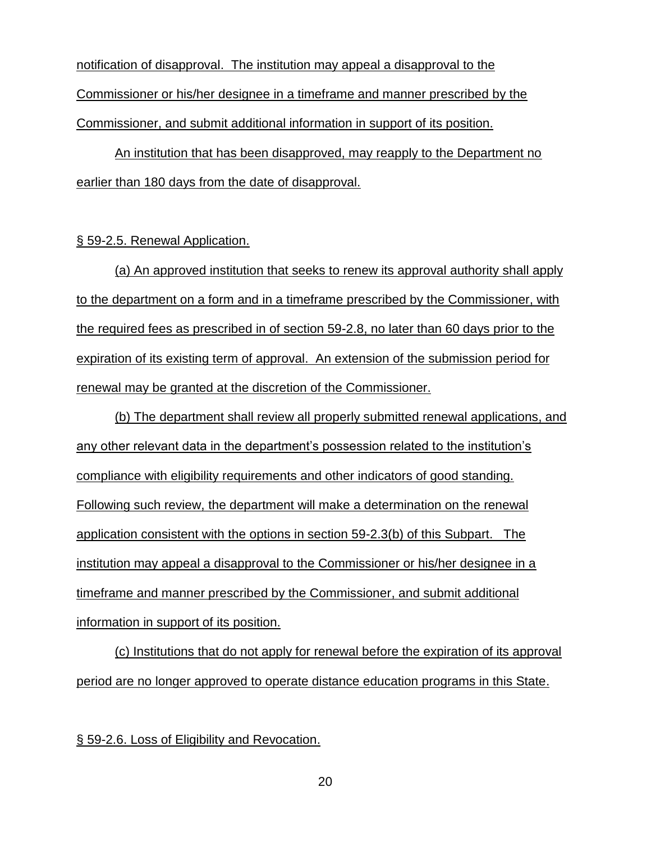notification of disapproval. The institution may appeal a disapproval to the Commissioner or his/her designee in a timeframe and manner prescribed by the Commissioner, and submit additional information in support of its position.

An institution that has been disapproved, may reapply to the Department no earlier than 180 days from the date of disapproval.

#### § 59-2.5. Renewal Application.

(a) An approved institution that seeks to renew its approval authority shall apply to the department on a form and in a timeframe prescribed by the Commissioner, with the required fees as prescribed in of section 59-2.8, no later than 60 days prior to the expiration of its existing term of approval. An extension of the submission period for renewal may be granted at the discretion of the Commissioner.

(b) The department shall review all properly submitted renewal applications, and any other relevant data in the department's possession related to the institution's compliance with eligibility requirements and other indicators of good standing. Following such review, the department will make a determination on the renewal application consistent with the options in section 59-2.3(b) of this Subpart. The institution may appeal a disapproval to the Commissioner or his/her designee in a timeframe and manner prescribed by the Commissioner, and submit additional information in support of its position.

(c) Institutions that do not apply for renewal before the expiration of its approval period are no longer approved to operate distance education programs in this State.

§ 59-2.6. Loss of Eligibility and Revocation.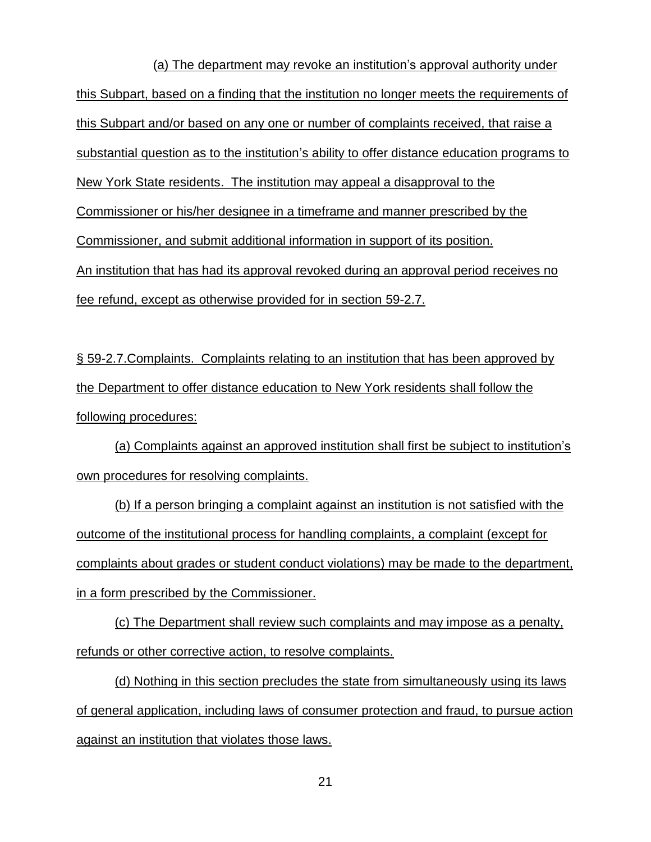(a) The department may revoke an institution's approval authority under this Subpart, based on a finding that the institution no longer meets the requirements of this Subpart and/or based on any one or number of complaints received, that raise a substantial question as to the institution's ability to offer distance education programs to New York State residents. The institution may appeal a disapproval to the Commissioner or his/her designee in a timeframe and manner prescribed by the Commissioner, and submit additional information in support of its position. An institution that has had its approval revoked during an approval period receives no fee refund, except as otherwise provided for in section 59-2.7.

§ 59-2.7.Complaints. Complaints relating to an institution that has been approved by the Department to offer distance education to New York residents shall follow the following procedures:

(a) Complaints against an approved institution shall first be subject to institution's own procedures for resolving complaints.

(b) If a person bringing a complaint against an institution is not satisfied with the outcome of the institutional process for handling complaints, a complaint (except for complaints about grades or student conduct violations) may be made to the department, in a form prescribed by the Commissioner.

(c) The Department shall review such complaints and may impose as a penalty, refunds or other corrective action, to resolve complaints.

(d) Nothing in this section precludes the state from simultaneously using its laws of general application, including laws of consumer protection and fraud, to pursue action against an institution that violates those laws.